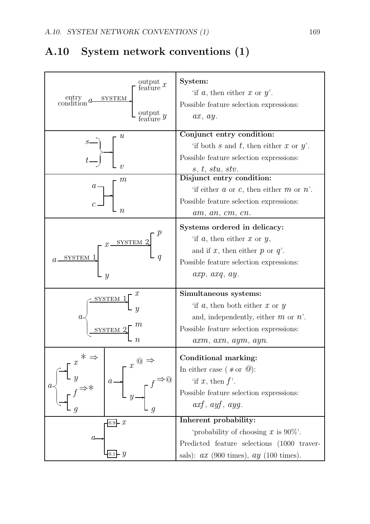### A.10 System network conventions (1)

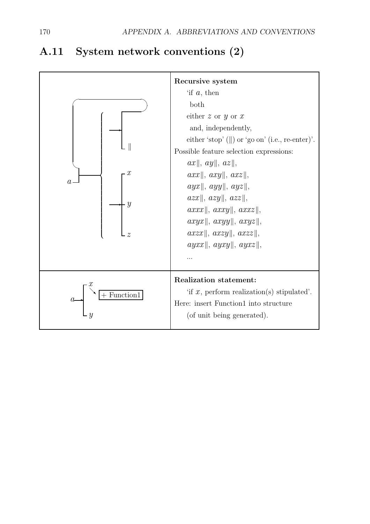## A.11 System network conventions (2)

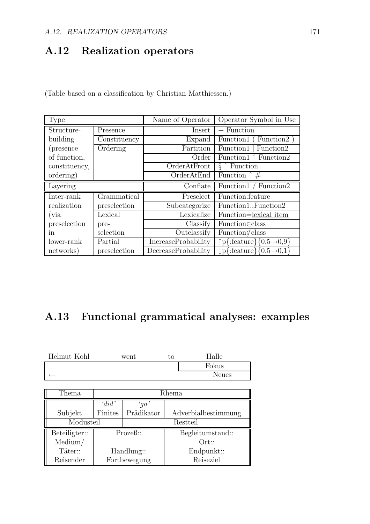## A.12 Realization operators

(Table based on a classification by Christian Matthiessen.)

| <b>Type</b>   |              | Name of Operator    | Operator Symbol in Use                                   |
|---------------|--------------|---------------------|----------------------------------------------------------|
| Structure-    | Presence     | Insert              | $+$ Function                                             |
| building      | Constituency | Expand              | Function1<br>Function2)                                  |
| (presence)    | Ordering     | Partition           | Function2<br>Function1                                   |
| of function,  |              | Order               | Function1 ^ Function2                                    |
| constituency, |              | OrderAtFront        | $\S$ $\hat{S}$ Function                                  |
| ordering)     |              | OrderAtEnd          | Function $\hat{ }$ #                                     |
| Layering      |              | Conflate            | Function2<br>Function1                                   |
| Inter-rank    | Grammatical  | Preselect           | Function: feature                                        |
| realization   | preselection | Subcategorize       | Function1::Function2                                     |
| (via          | Lexical      | Lexicalize          | Function=lexical item                                    |
| preselection  | pre-         | Classify            | $Function \in class$                                     |
| $\mathbf{m}$  | selection    | Outclassify         | Function $\notin$ class                                  |
| lower-rank    | Partial      | IncreaseProbability | $\uparrow$ p{:feature}{0,5 \times-0,9}                   |
| networks)     | preselection | DecreaseProbability | $\mathbb{D}\{\text{:feature}\}\{0, 5 \rightarrow 0, 1\}$ |

# A.13 Functional grammatical analyses: examples

| Helmut Kohl | went | tО | Halle |
|-------------|------|----|-------|
|             |      |    | Fokus |
|             |      |    | Neues |

| Thema         | R.hema       |            |                     |  |
|---------------|--------------|------------|---------------------|--|
|               | 'did'        | qo'        |                     |  |
| Subjekt       | Finites      | Prädikator | Adverbialbestimmung |  |
| Modusteil     |              |            | Restteil            |  |
| Beteiligter:: | Prozeß::     |            | Begleitumstand::    |  |
| Median/       |              |            | $Ort$ :             |  |
| Täter::       | Handlung:    |            | Endpunkt::          |  |
| Reisender     | Fortbewegung |            | Reiseziel           |  |